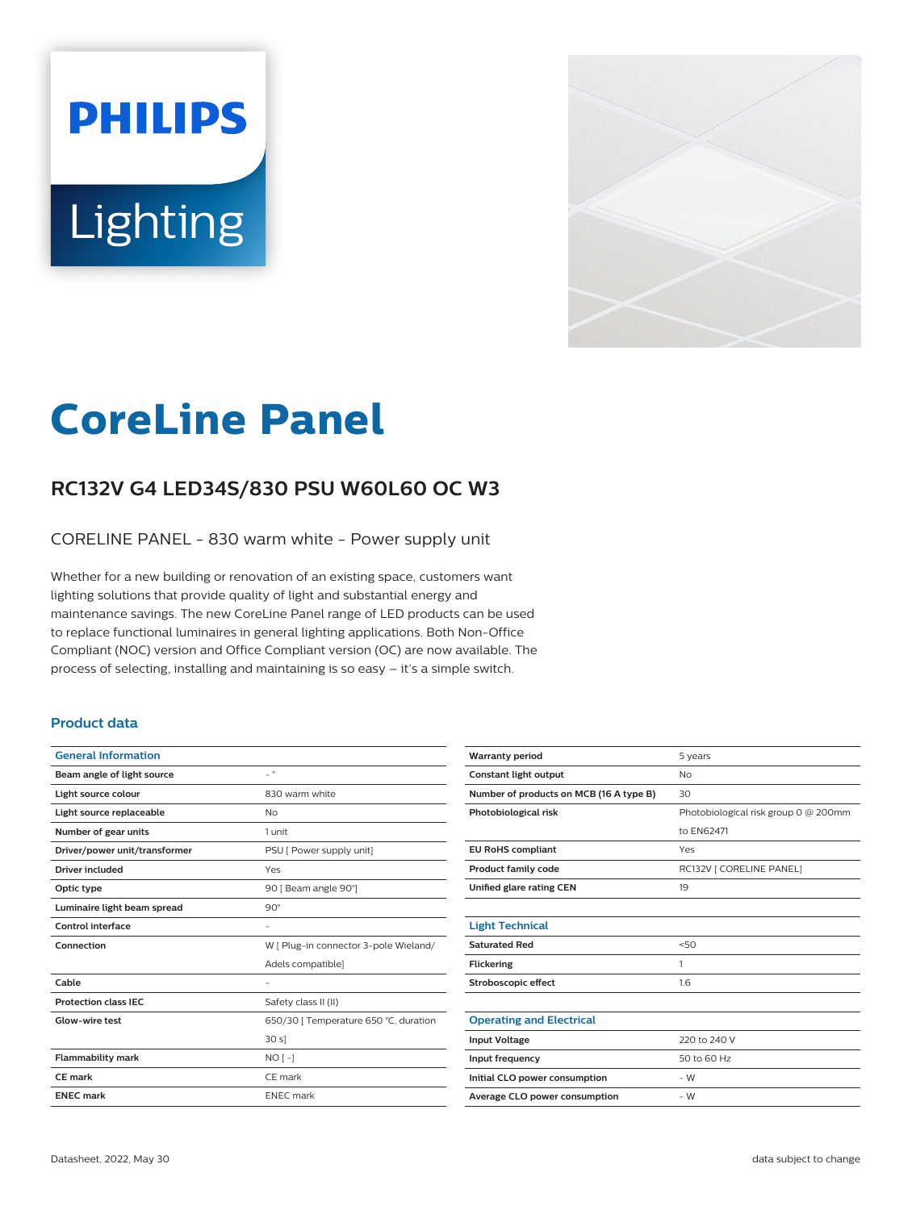# **PHILIPS** Lighting



# **CoreLine Panel**

# **RC132V G4 LED34S/830 PSU W60L60 OC W3**

CORELINE PANEL - 830 warm white - Power supply unit

Whether for a new building or renovation of an existing space, customers want lighting solutions that provide quality of light and substantial energy and maintenance savings. The new CoreLine Panel range of LED products can be used to replace functional luminaires in general lighting applications. Both Non-Office Compliant (NOC) version and Office Compliant version (OC) are now available. The process of selecting, installing and maintaining is so easy – it's a simple switch.

#### **Product data**

| $\overline{\phantom{0}}$ $\circ$      |
|---------------------------------------|
| 830 warm white                        |
| N <sub>o</sub>                        |
| 1 unit                                |
| PSU [ Power supply unit]              |
| Yes                                   |
| 90   Beam angle 90°]                  |
| $90^\circ$                            |
|                                       |
| W [ Plug-in connector 3-pole Wieland/ |
| Adels compatible]                     |
|                                       |
| Safety class II (II)                  |
| 650/30 [ Temperature 650 °C, duration |
| 30 s                                  |
| $NO[-]$                               |
| CE mark                               |
| <b>ENEC</b> mark                      |
|                                       |

| <b>Warranty period</b>                  | 5 years                              |
|-----------------------------------------|--------------------------------------|
| Constant light output                   | No                                   |
| Number of products on MCB (16 A type B) | 30                                   |
| Photobiological risk                    | Photobiological risk group 0 @ 200mm |
|                                         | to EN62471                           |
| <b>EU RoHS compliant</b>                | Yes                                  |
| <b>Product family code</b>              | RC132V   CORELINE PANEL]             |
| Unified glare rating CEN                | 19                                   |
|                                         |                                      |
| <b>Light Technical</b>                  |                                      |
| <b>Saturated Red</b>                    | 50                                   |
| <b>Flickering</b>                       | 1                                    |
| Stroboscopic effect                     | 1.6                                  |
|                                         |                                      |
| <b>Operating and Electrical</b>         |                                      |
| <b>Input Voltage</b>                    | 220 to 240 V                         |
| Input frequency                         | 50 to 60 Hz                          |
| Initial CLO power consumption           | $-W$                                 |
| Average CLO power consumption           | $-W$                                 |
|                                         |                                      |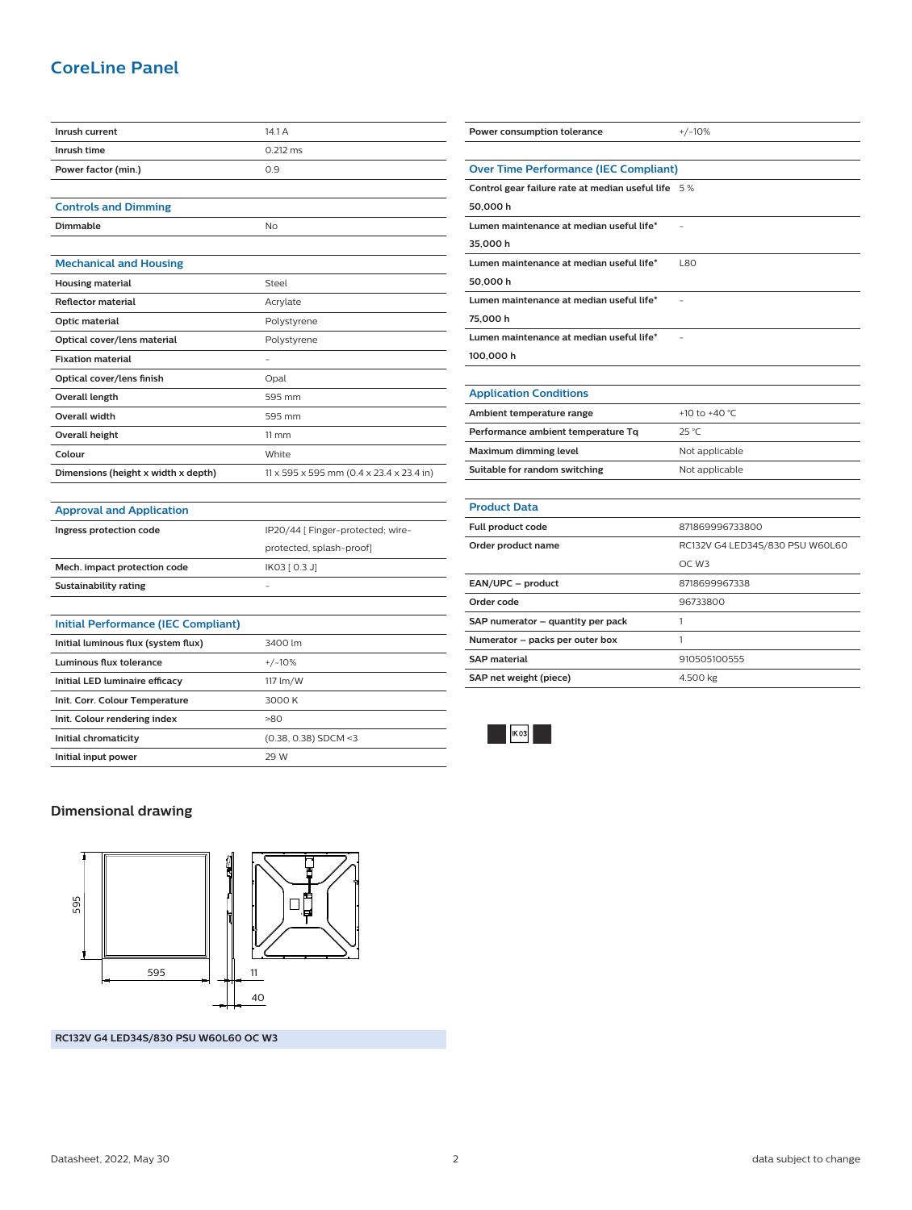## **CoreLine Panel**

| Inrush current                      | 14.1A                                    |
|-------------------------------------|------------------------------------------|
| Inrush time                         | $0.212$ ms                               |
| Power factor (min.)                 | 0.9                                      |
|                                     |                                          |
| <b>Controls and Dimming</b>         |                                          |
| <b>Dimmable</b>                     | No                                       |
|                                     |                                          |
| <b>Mechanical and Housing</b>       |                                          |
| <b>Housing material</b>             | Steel                                    |
| <b>Reflector material</b>           | Acrylate                                 |
| Optic material                      | Polystyrene                              |
| Optical cover/lens material         | Polystyrene                              |
| <b>Fixation material</b>            | $\overline{\phantom{a}}$                 |
| Optical cover/lens finish           | Opal                                     |
| <b>Overall length</b>               | 595 mm                                   |
| Overall width                       | 595 mm                                   |
| <b>Overall height</b>               | $11 \, \text{mm}$                        |
| Colour                              | White                                    |
| Dimensions (height x width x depth) | 11 x 595 x 595 mm (0.4 x 23.4 x 23.4 in) |
|                                     |                                          |
| <b>Approval and Application</b>     |                                          |
| Ingress protection code             | IP20/44 [ Finger-protected; wire-        |
|                                     | protected, splash-proof]                 |
| Mech. impact protection code        | IK03 [ 0.3 J]                            |
| Sustainability rating               |                                          |

| Initial Performance (IEC Compliant) |                        |
|-------------------------------------|------------------------|
| Initial luminous flux (system flux) | 3400 lm                |
| Luminous flux tolerance             | $+/-10%$               |
| Initial LED luminaire efficacy      | 117 lm/W               |
| Init. Corr. Colour Temperature      | 3000 K                 |
| Init. Colour rendering index        | $-80$                  |
| Initial chromaticity                | $(0.38, 0.38)$ SDCM <3 |
| Initial input power                 | 29 W                   |

| Power consumption tolerance                        | $+/-10%$                        |
|----------------------------------------------------|---------------------------------|
|                                                    |                                 |
| <b>Over Time Performance (IEC Compliant)</b>       |                                 |
| Control gear failure rate at median useful life 5% |                                 |
| 50,000 h                                           |                                 |
| Lumen maintenance at median useful life*           |                                 |
| 35,000 h                                           |                                 |
| Lumen maintenance at median useful life*           | <b>L80</b>                      |
| 50,000 h                                           |                                 |
| Lumen maintenance at median useful life*           |                                 |
| 75,000 h                                           |                                 |
| Lumen maintenance at median useful life*           |                                 |
| 100,000 h                                          |                                 |
|                                                    |                                 |
| <b>Application Conditions</b>                      |                                 |
| Ambient temperature range                          | +10 to +40 $^{\circ}$ C         |
| Performance ambient temperature Tq                 | 25 °C                           |
| Maximum dimming level                              | Not applicable                  |
| Suitable for random switching                      | Not applicable                  |
|                                                    |                                 |
| <b>Product Data</b>                                |                                 |
| Full product code                                  | 871869996733800                 |
| Order product name                                 | RC132V G4 LED34S/830 PSU W60L60 |
|                                                    | OC W3                           |
| EAN/UPC - product                                  | 8718699967338                   |
| Order code                                         | 96733800                        |
| SAP numerator - quantity per pack                  | 1                               |
| Numerator - packs per outer box                    | 1                               |
| <b>SAP material</b>                                | 910505100555                    |
| SAP net weight (piece)                             | 4.500 kg                        |
|                                                    |                                 |



#### **Dimensional drawing**



**RC132V G4 LED34S/830 PSU W60L60 OC W3**